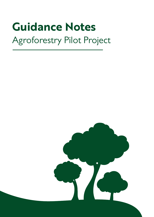# **Guidance Notes**

# Agroforestry Pilot Project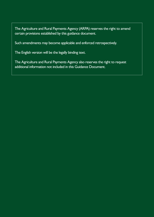The Agriculture and Rural Payments Agency (ARPA) reserves the right to amend certain provisions established by this guidance document.

Such amendments may become applicable and enforced retrospectively.

The English version will be the legally binding text.

The Agriculture and Rural Payments Agency also reserves the right to request additional information not included in this Guidance Document.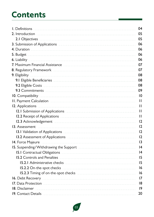### **Contents**

| I. Definitions                                                               | 04              |
|------------------------------------------------------------------------------|-----------------|
| 2. Introduction                                                              | 05              |
| 2.1 Objectives<br>---------------------------                                | 05              |
| 3. Submission of Applications                                                | 06              |
| 4. Duration<br>---------------------------------                             | 06              |
| 5. Budget<br>--------------------------                                      | 06              |
| 6. Liability<br>------------------------------------                         | 06              |
| 7. Maximum Financial Assistance<br>--------------------------                | 07              |
| 8. Regulatory Framework                                                      | 07              |
| 9. Eligibility                                                               | 08              |
| 9.1 Eligible Beneficiaries<br>----------------------------------             | 08              |
| 9.2 Eligible Costs                                                           | 08              |
| 9.3 Commitments                                                              | 09              |
| 10. Compatibility                                                            | 10              |
| <b>II. Payment Calculation</b>                                               | Ш               |
| 12. Applications                                                             | Ш               |
| 12.1 Submission of Applications                                              | Ш               |
| 12.2 Receipt of Applications                                                 | Ш               |
| 12.3 Acknowledgement                                                         | 12              |
| 13. Assessment<br>_____________________________                              | 12              |
| 13.1 Validation of Applications<br>__________________________                | 12              |
| 13.2 Assessment of Applications<br>-------------------------                 | 12              |
| 14. Force Majeure<br>_________________________________                       | $\overline{13}$ |
| 15. Suspending/Withdrawing the Support                                       | 4               |
| 15.1 Contractual Obligations                                                 | 14              |
| <b>15.2 Controls and Penalties</b>                                           | 15              |
|                                                                              | 15              |
| 15.2.2 On-the-spot checks                                                    | 16              |
| 15.2.3 Timing of on-the-spot checks <b>constant of the construction</b>      | 16              |
| 16. Debt Recovery                                                            | 17              |
|                                                                              | 18              |
| 18. Disclaimer                                                               | 9               |
| 19. Contact Details <b>Superior Contract Contact Contact Contact Details</b> | 20              |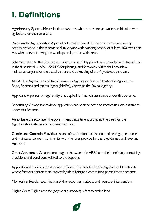# **1. Definitions**

Agroforestry System: Means land use systems where trees are grown in combination with agriculture on the same land;

Parcel under Agroforestry: A parcel not smaller than 0.1124ha on which Agroforestry actions provided in this scheme shall take place with planting density of at least 400 trees per Ha, with a view of having the whole parcel planted with trees.

Scheme: Refers to the pilot project where successful applicants are provided with trees listed in the first schedule of S.L. 549.123 for planting, and for which ARPA shall provide a maintenance grant for the establishment and upkeeping of the Agroforestry system.

ARPA: The Agriculture and Rural Payments Agency within the Ministry for Agriculture, Food, Fisheries and Animal rights (MAFA), known as the Paying Agency.

Applicant: A person or legal entity that applied for financial assistance under this Scheme.

Beneficiary: An applicant whose application has been selected to receive financial assistance under this Scheme.

Agriculture Directorate: The government department providing the trees for the Agroforestry systems and necessary support.

Checks and Controls: Provide a means of verification that the claimed setting up expenses and maintenance are in conformity with the rules provided in these guidelines and relevant legislation

Grant Agreement: An agreement signed between the ARPA and the beneficiary containing provisions and conditions related to the support.

Application: An application document (Annex I) submitted to the Agriculture Directorate where farmers declare their interest by identifying and committing parcels to the scheme.

Monitoring: Regular examination of the resources, outputs and results of interventions.

Eligible Area: Eligible area for (payment purposes) refers to arable land.

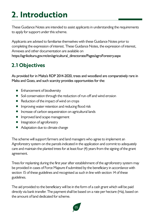# **2. Introduction**

These Guidance Notes are intended to assist applicants in understanding the requirements to apply for support under this scheme.

Applicants are advised to familiarise themselves with these Guidance Notes prior to completing the expression of interest. These Guidance Notes, the expression of interest, Annexes and other documentation are available on https://agrikoltura.gov.mt/en/agricultural\_directorate/Pages/agroForestry.aspx

#### **2.1 Objectives**

As provided for in Malta's RDP 2014-2020, trees and woodland are comparatively rare in Malta and Gozo, and such scarcity provides opportunities for the:

- Enhancement of biodiversity
- Soil conservation through the reduction of run-off and wind erosion
- Reduction of the impact of wind on crops
- Improving water retention and reducing flood risk  $\bullet$
- Increase of carbon sequestration on agricultural lands
- **•** Improved land scape management
- Integration of agroforestry
- Adaptation due to climate change

The scheme will support farmers and land managers who agree to implement an Agroforestry system on the parcels indicated in the application and commit to adequately care and maintain the planted trees for at least four (4) years from the signing of the grant agreement.

Trees for replanting during the first year after establishment of the agroforestry system may be provided in cases of Force Majeure if submitted by the beneficiary in accordance with section 15 of these guidelines and recognised as such in line with section 14 of these guidelines.

The aid provided to the beneficiary will be in the form of a cash grant which will be paid directly via bank transfer. The payment shall be based on a rate per hectare (Ha), based on the amount of land dedicated for scheme.

05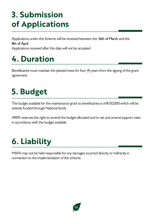### **3. Submission of Applications**

Applications under this Scheme will be received between the 16th of March and the 8th of April.

Applications received after this date will not be accepted.

### **4. Duration**

Beneficiaries must maintain the planted trees for four (4) years from the signing of the grant agreement.

### **5. Budget**

The budget available for the maintenance grant to beneficiaries is of €150,000 which will be entirely funded through National funds.

ARPA reserves the right to amend the budget allocated and to set and amend support rates in accordance with the budget available.

### **6. Liability**

MAFA may not be held responsible for any damages incurred directly or indirectly in connection to the implementation of this scheme.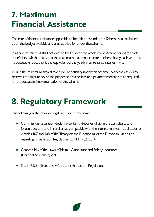### **7. Maximum Financial Assistance**

The rate of financial assistance applicable to beneficiaries under this Scheme shall be based upon the budget available and area applied for under the scheme.

In all circumstances it shall not exceed €4000 over the whole commitment period for each beneficiary, which means that the maximum maintenance rate per beneficiary each year may not exceed €1000, that is the equivalent of the yearly maintenance rate for 1 Ha.

1 Ha is the maximum area allowed per beneficiary under this scheme. Nonetheless ARPA reserves the right to revise the proposed area ceilings and payment mechanism as required for the successful implementation of this scheme.

### **8. Regulatory Framework**

The following is the relevant legal basis for this Scheme:

- Commission Regulation declaring certain categories of aid in the agricultural and forestry sectors and in rural areas compatible with the internal market in application of Articles 107 and 108 of the Treaty on the Functioning of the European Union and repealing Commission Regulation (EU) No 702/2014
- Chapter 146 of the Laws of Malta Agriculture and Fishing Industries (Financial Assistance) Act
- S.L. 549.123 Trees and Woodlands Protection Regulations

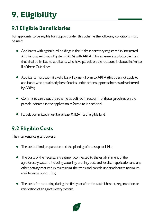# **9. Eligibility**

#### **9.1 Eligible Beneficiaries**

For applicants to be eligible for support under this Scheme the following conditions must be met:

- Applicants with agricultural holdings in the Maltese territory registered in Integrated Administrative Control System (IACS) with ARPA. This scheme is a pilot project and thus shall be limited to applicants who have parcels on the locations indicated in Annex II of these Guidelines.
- Applicants must submit a valid Bank Payment Form to ARPA (this does not apply to applicants who are already beneficiaries under other support schemes administered by ARPA).
- Commit to carry out the scheme as defined in section 1 of these guidelines on the parcels indicated in the application referred to in section 4.
- Parcels committed must be at least 0.1124 Ha of eligible land

#### **9.2 Eligible Costs**

The maintenance grant covers:

- The cost of land preparation and the planting of trees up to 1 Ha;
- The costs of the necessary treatment connected to the establishment of the agroforestry system, including watering, pruning, pest and fertiliser application and any other activity required in maintaining the trees and parcels under adequate minimum maintenance up to 1 Ha;
- The costs for replanting during the first year after the establishment, regeneration or renovation of an agroforestry system.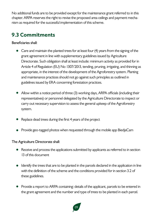No additional funds are to be provided except for the maintenance grant referred to in this chapter. ARPA reserves the right to revise the proposed area ceilings and payment mechanism as required for the successful implementation of this scheme.

#### **9.3 Commitments**

Beneficiaries shall:

- Care and maintain the planted trees for at least four (4) years from the signing of the grant agreement in line with supplementary guidelines issued by Agriculture Directorate. Such obligation shall at least include: minimum activity as provided for in Article 4 of Regulation (EU) No 1307/2013, tending, pruning, irrigating, and thinning as appropriate, in the interest of the development of the Agroforestry system. Planting and maintenance practices should not go against such principles as outlined in guidelines issued by ERA concerning forestation practices.
- Allow within a notice period of three (3) working days, ARPA officials (including their representatives) or personnel delegated by the Agriculture Directorate to inspect or carry out necessary supervision to assess the general upkeep of the Agroforestry system.
- Replace dead trees during the first 4 years of the project
- Provide geo-tagged photos when requested through the mobile app BiedjaCam

The Agriculture Directorate shall:

- Receive and process the applications submitted by applicants as referred to in section 13 of this document
- Identify the trees that are to be planted in the parcels declared in the application in line with the definition of the scheme and the conditions provided for in section 3.2 of these guidelines.
- Provide a report to ARPA containing: details of the applicant, parcels to be entered in the grant agreement and the number and type of trees to be planted in each parcel.

09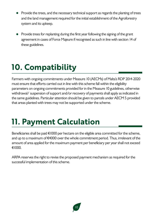- Provide the trees, and the necessary technical support as regards the planting of trees and the land management required for the initial establishment of the Agroforestry system and its upkeep.
- Provide trees for replanting during the first year following the signing of the grant agreement in cases of Force Majeure if recognised as such in line with section 14 of these guidelines.

# **10. Compatibility**

Farmers with ongoing commitments under Measure 10 (AECMs) of Malta's RDP 2014-2020 must ensure that efforts carried out in line with this scheme fall within the eligibility parameters on ongoing commitments provided for in the Measure 10 guidelines, otherwise withdrawal/ suspension of support and/or recovery of payments shall apply as indicated in the same guidelines. Particular attention should be given to parcels under AECM 5 provided that areas planted with trees may not be supported under the scheme.

# **11. Payment Calculation**

Beneficiaries shall be paid €1000 per hectare on the eligible area committed for the scheme, and up to a maximum of €4000 over the whole commitment period. Thus, irrelevant of the amount of area applied for the maximum payment per beneficiary per year shall not exceed €1000.

ARPA reserves the right to revise the proposed payment mechanism as required for the successful implementation of this scheme.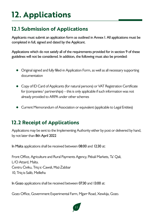# **12. Applications**

#### **12.1 Submission of Applications**

Applicants must submit an application form as outlined in Annex I. All applications must be completed in full, signed and dated by the Applicant.

Applications which do not satisfy all of the requirements provided for in section 9 of these guidelines will not be considered. In addition, the following must also be provided:

- Original signed and fully filled-in Application Form, as well as all necessary supporting documentation
- Copy of ID Card of Applicants (for natural persons) or VAT Registration Certificate for (companies/ partnerships) – this is only applicable if such information was not already provided to ARPA under other schemes
- Current Memorandum of Association or equivalent (applicable to Legal Entities)

#### **12.2 Receipt of Applications**

Applications may be sent to the Implementing Authority either by post or delivered by hand, by not later than 8th April 2022

In Malta applications shall be received between 08:00 and 12:30 at:

Front Office, Agriculture and Rural Payments Agency, Pitkali Markets, Ta' Qali, L/O Attard, Malta. Ċentru Ċiviku, Triq ic-Cawsli, Ħaż-Żabbar 10, Triq is-Salib, Mellieħa

In Gozo applications shall be received between 07:30 and 13:00 at:

Gozo Office, Government Experimental Farm, Mgarr Road, Xewkija, Gozo.

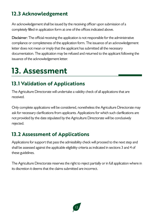#### **12.3 Acknowledgement**

An acknowledgement shall be issued by the receiving officer upon submission of a completely filled-in application form at one of the offices indicated above.

Disclaimer: The official receiving the application is not responsible for the administrative compliance or completeness of the application form. The issuance of an acknowledgement letter does not mean or imply that the applicant has submitted all the necessary documentation. The application may be refused and returned to the applicant following the issuance of the acknowledgement letter.

### **13. Assessment**

#### **13.1 Validation of Applications**

The Agriculture Directorate will undertake a validity check of all applications that are received.

Only complete applications will be considered, nonetheless the Agriculture Directorate may ask for necessary clarifications from applicants. Applications for which such clarifications are not provided by the date stipulated by the Agriculture Directorate will be conclusively rejected.

#### **13.2 Assessment of Applications**

Applications for support that pass the admissibility check will proceed to the next step and shall be assessed against the applicable eligibility criteria as indicated in sections 3 and 4 of these guidelines.

The Agriculture Directorate reserves the right to reject partially or in full application where in its discretion it deems that the claims submitted are incorrect.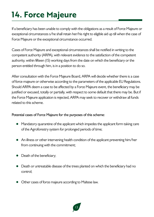# **14. Force Majeure**

If a beneficiary has been unable to comply with the obligations as a result of Force Majeure or exceptional circumstances s/he shall retain her/his right to eligible aid up till when the case of Force Majeure or the exceptional circumstance occurred.

Cases of Force Majeure and exceptional circumstances shall be notified in writing to the competent authority (ARPA), with relevant evidence to the satisfaction of the competent authority, within fifteen (15) working days from the date on which the beneficiary or the person entitled through him, is in a position to do so.

After consultation with the Force Majeure Board, ARPA will decide whether there is a case of force majeure or otherwise according to the parameters of the applicable EU Regulations. Should ARPA deem a case to be affected by a Force Majeure event, the beneficiary may be justified or excused, totally or partially, with respect to some default that there may be. But if the Force Majeure application is rejected, ARPA may seek to recover or withdraw all funds related to this scheme.

#### Potential cases of Force Majeure for the purposes of this scheme:

- Mandatory quarantine of the applicant which impedes the applicant form taking care of the Agroforestry system for prolonged periods of time;
- An illness or other intervening health condition of the applicant preventing him/her from continuing with the commitment;
- Death of the beneficiary;
- Death or untreatable disease of the trees planted on which the beneficiary had no control;
- Other cases of force majeure according to Maltese law.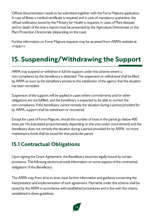Official documentation needs to be submitted together with the Force Majeure application. In case of illness a medical certificate is required and in case of mandatory quarantine, the official notification issued by the Ministry for Health is required, in cases of Plant diseases and/or death of the tree a report must be presented by the Agriculture Directorate or the Plant Protection Directorate (depending on the case).

Further information on Force Majeure requests may be accessed from ARPA's website at: <<link>>

#### **15. Suspending/Withdrawing the Support**

ARPA may suspend or withdraw in full the support under this scheme where a non-compliance by the beneficiary is detected. The suspension or withdrawal shall be lifted by ARPA as soon as the beneficiary proves to the satisfaction of the agency that the situation has been remedied.

Suspension of the support will be applied in cases where commitments and/or other obligations are not fulfilled, and the beneficiary is expected to be able to correct the non-compliance. If the beneficiary cannot remedy the situation during a period provided for by ARPA, support shall be withdrawn or recovered.

Except for cases of Force Majeure, should the number of trees in the parcel go below 400 trees per Ha (calculated proportionately depending on the area under commitment) and the beneficiary does not remedy the situation during a period provided for by ARPA, no more maintenance funds shall be issued for that particular parcel.

#### **15.1 Contractual Obligations**

Upon signing the Grant Agreement, the Beneficiary becomes legally bound by certain provisions. The following sections provide information on some aspects of the contractual obligations of the Beneficiary.

The ARPA may, from time to time, issue further information and guidance concerning the interpretation and implementation of such agreement. Payments under this scheme shall be issued by the ARPA in accordance with established procedures and in line with the criteria established in these guidelines.

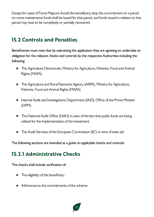Except for cases of Force Majeure should the beneficiary stop the commitment on a parcel no more maintenance funds shall be issued for that parcel, and funds issued in relation to that parcel may have to be completely or partially recovered.

#### **15.2 Controls and Penalties**

Beneficiaries must note that by submitting the application they are agreeing to undertake an obligation for the relevant checks and controls by the respective Authorities including the following:

- The Agriculture Directorate, Ministry for Agriculture, Fisheries, Food and Animal Rights (MAFA)
- The Agriculture and Rural Payments Agency (ARPA), Ministry for Agriculture, Fisheries, Food and Animal Rights (MAFA)
- Internal Audit and Investigations Department (IAID), Office of the Prime Minister (OPM)
- The National Audit Office (NAO) in view of the fact that public funds are being utilised for the implementation of the investment
- The Audit Services of the European Commission (EC) in view of state aid

The following sections are intended as a guide on applicable checks and controls:

#### **15.2.1 Administrative Checks**

The checks shall include verification of:

- The eligibility of the beneficiary
- Adherence to the commitments of the scheme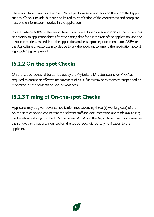The Agriculture Directorate and ARPA will perform several checks on the submitted applications. Checks include, but are not limited to, verification of the correctness and completeness of the information included in the application

In cases where ARPA or the Agriculture Directorate, based on administrative checks, notices an error in an application form after the closing date for submission of the application, and the error can be determined from the application and its supporting documentation, ARPA or the Agriculture Directorate may decide to ask the applicant to amend the application accordingly within a given period.

#### **15.2.2 On-the-spot Checks**

On-the-spot checks shall be carried out by the Agriculture Directorate and/or ARPA as required to ensure an effective management of risks. Funds may be withdrawn/suspended or recovered in case of identified non-compliances.

#### **15.2.3 Timing of On-the-spot Checks**

Applicants may be given advance notification (not exceeding three (3) working days) of the on-the-spot checks to ensure that the relevant staff and documentation are made available by the beneficiary during the check. Nonetheless, ARPA and the Agriculture Directorate reserve the right to carry out unannounced on-the spot checks without any notification to the applicant.

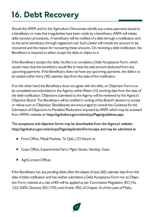# **16. Debt Recovery**

Should the ARPA and/or the Agriculture Directorate identify any undue payments issued to a beneficiary or note that irregularities have been made by a beneficiary, ARPA will initiate debt recovery procedures. A beneficiary will be notified of a debt through a notification sent to the same beneficiary through registered mail. Such a letter will include the amount to be recovered and the reason for recovering these amounts. On receiving a debt notification, the Beneficiary is required to either accept the debt or object to it.

If the Beneficiary accepts the debt, he/she is to complete a Debt Acceptance Form, which would mean that the beneficiary would like to have the said amount deducted from any upcoming payments. If the Beneficiary does not have any upcoming payments, the debt is to be settled within thirty (30) calendar days from the date of the notification.

If on the other hand the Beneficiary does not agree with the debt, an Objection Form is to be completed and submitted to the Agency within fifteen (15) working days from the date of the debt notification. Objections submitted to the Agency will be reviewed by the Agency's Objection Board. The Beneficiary will be notified in writing of the Board's decision to accept or refuse such an Objection. Beneficiaries are encouraged to consult the Guidance for the Submission of Objections to Penalties/Reductions imposed by ARPA which may be accessed from ARPA's website at: https://agrikoltura.gov.mt/en/arpa/Pages/guidelines.aspx.

The acceptance and objection forms may be downloaded from the Agency's website: https://agrikoltura.gov.mt/en/arpa/Pages/applicationForms.aspx and may be submitted at:

- Front Office, Pitkali Markets, Ta' Qali, L/O Attard or,
- Gozo Office, Experimental Farm, Mgarr Street, Xewkija, Gozo
- AgriConnect Offices

If the Beneficiary has any pending debts after the elapse of sixty (60) calendar days from the date of debt notification and has neither submitted a Debt Acceptance Form nor an Objection Form, interest at a rate of 8% will be applied as per Commission Regulation (EC) No 1122/2009, Directive 2011/7/EU and Article 1852 of Chapter 16 of the Laws of Malta.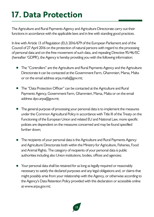# **17. Data Protection**

The Agriculture and Rural Payments Agency and Agriculture Directorate carry out their functions in accordance with the applicable laws and in line with standing good practices.

In line with Article 13 of Regulation (EU) 2016/679 of the European Parliament and of the Council of 27 April 2016 on the protection of natural persons with regard to the processing of personal data and on the free movement of such data, and repealing Directive 95/46/EC (hereafter 'GDPR'), the Agency is hereby providing you with the following information:

- The "Controllers" are the Agriculture and Rural Payments Agency and the Agriculture Directorate it can be contacted at the Government Farm, Għammieri, Marsa, Malta or on the email address arpa.mafa@gov.mt;
- The "Data Protection Officer" can be contacted at the Agriculture and Rural Payments Agency, Government Farm, Għammieri, Marsa, Malta or on the email address dpo.arpa@gov.mt;
- The general purpose of processing your personal data is to implement the measures under the Common Agricultural Policy in accordance with Title III of the Treaty on the Functioning of the European Union and related EU and National Law, more specific policies are dependent on the measures concerned and may be found specified further down;
- The recipients of your personal data is the Agriculture and Rural Payments Agency and Agriculture Directorate both within the Ministry for Agriculture, Fisheries, Food and Animal Rights. The category of recipients of your personal data is public authorities including also Union institutions, bodies, offices and agencies;
- Your personal data shall be retained for as long as legally required or reasonably necessary to satisfy the declared purposes and any legal obligations and, or claims that might possibly arise from your relationship with the Agency, or otherwise according to the Agency's Data Retention Policy provided with this declaration or accessible online at www.arpa.gov.mt;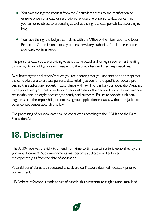- You have the right to request from the Controllers access to and rectification or erasure of personal data or restriction of processing of personal data concerning yourself or to object to processing as well as the right to data portability, according to law;
- You have the right to lodge a complaint with the Office of the Information and Data Protection Commissioner, or any other supervisory authority, if applicable in accordance with the Regulation.

The personal data you are providing to us is a contractual and, or legal requirement relating to your rights and obligations with respect to the controllers and their responsibilities.

By submitting this application/request you are declaring that you understand and accept that the controllers are to process personal data relating to you for the specific purpose ofprocessing this application/request, in accordance with law. In order for your application/request to be processed, you shall provide your personal data for the declared purposes and anything reasonably and, or legally necessary to satisfy said purposes. Failure to provide such data might result in the impossibility of processing your application/request, without prejudice to other consequences according to law.

The processing of personal data shall be conducted according to the GDPR and the Data Protection Act.

### **18. Disclaimer**

The ARPA reserves the right to amend from time-to-time certain criteria established by this guidance document. Such amendments may become applicable and enforced retrospectively, as from the date of application.

Potential beneficiaries are requested to seek any clarifications deemed necessary prior to commitment.

NB: Where reference is made to size of parcels, this is referring to eligible agricultural land.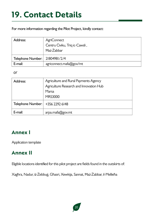### **19. Contact Details**

For more information regarding the Pilot Project, kindly contact:

| Address:                         | <b>AgriConnect</b><br>Čentru Čiviku, Triq ic-Cawsli,<br>Haż-Żabbar |
|----------------------------------|--------------------------------------------------------------------|
| Telephone Number:   21804981/2/4 |                                                                    |
| E-mail:                          | agriconnect.mafa@gov/mt                                            |

*or*

| Address:          | Agriculture and Rural Payments Agency   |
|-------------------|-----------------------------------------|
|                   | Agriculture Research and Innovation Hub |
|                   | Marsa                                   |
|                   | <b>MRS3000</b>                          |
| Telephone Number: | +356 2292 6148                          |
| E-mail:           | arpa.mafa@gov.mt                        |

#### **Annex I**

Application template

#### **Annex II**

Eligible locations identified for this pilot project are fields found in the outskirts of:

Xagħra, Nadur, iż-Żebbuġ, Għasri, Xewkija, Sannat, Ħaż-Żabbar, il-Mellieħa